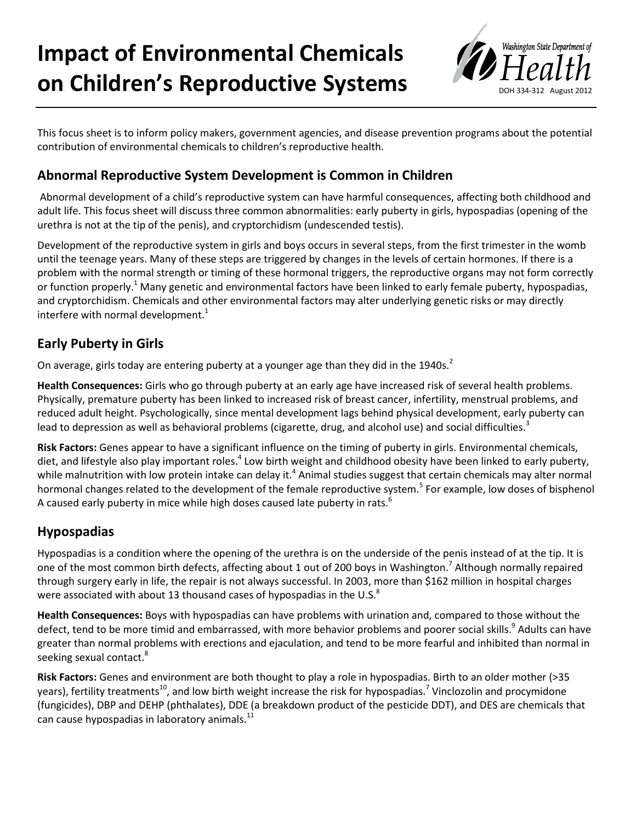# **Impact of Environmental Chemicals on Children's Reproductive Systems**



This focus sheet is to inform policy makers, government agencies, and disease prevention programs about the potential contribution of environmental chemicals to children's reproductive health.

## **Abnormal Reproductive System Development is Common in Children**

Abnormal development of a child's reproductive system can have harmful consequences, affecting both childhood and adult life. This focus sheet will discuss three common abnormalities: early puberty in girls, hypospadias (opening of the urethra is not at the tip of the penis), and cryptorchidism (undescended testis).

Development of the reproductive system in girls and boys occurs in several steps, from the first trimester in the womb until the teenage years. Many of these steps are triggered by changes in the levels of certain hormones. If there is a problem with the normal strength or timing of these hormonal triggers, the reproductive organs may not form correctly or function properly.<sup>1</sup> Many genetic and environmental factors have been linked to early female puberty, hypospadias, and cryptorchidism. Chemicals and other environmental factors may alter underlying genetic risks or may directly interfere with normal development.<sup>1</sup>

### **Early Puberty in Girls**

On average, girls today are entering puberty at a younger age than they did in the 1940s.<sup>2</sup>

**Health Consequences:** Girls who go through puberty at an early age have increased risk of several health problems. Physically, premature puberty has been linked to increased risk of breast cancer, infertility, menstrual problems, and reduced adult height. Psychologically, since mental development lags behind physical development, early puberty can lead to depression as well as behavioral problems (cigarette, drug, and alcohol use) and social difficulties.<sup>3</sup>

**Risk Factors:** Genes appear to have a significant influence on the timing of puberty in girls. Environmental chemicals, diet, and lifestyle also play important roles.<sup>4</sup> Low birth weight and childhood obesity have been linked to early puberty, while malnutrition with low protein intake can delay it.<sup>4</sup> Animal studies suggest that certain chemicals may alter normal hormonal changes related to the development of the female reproductive system.<sup>5</sup> For example, low doses of bisphenol A caused early puberty in mice while high doses caused late puberty in rats.<sup>6</sup>

### **Hypospadias**

Hypospadias is a condition where the opening of the urethra is on the underside of the penis instead of at the tip. It is one of the most common birth defects, affecting about 1 out of 200 boys in Washington.<sup>7</sup> Although normally repaired through surgery early in life, the repair is not always successful. In 2003, more than \$162 million in hospital charges were associated with about 13 thousand cases of hypospadias in the U.S. $^8$ 

**Health Consequences:** Boys with hypospadias can have problems with urination and, compared to those without the defect, tend to be more timid and embarrassed, with more behavior problems and poorer social skills.<sup>9</sup> Adults can have greater than normal problems with erections and ejaculation, and tend to be more fearful and inhibited than normal in seeking sexual contact.<sup>8</sup>

**Risk Factors:** Genes and environment are both thought to play a role in hypospadias. Birth to an older mother (>35 years), fertility treatments<sup>10</sup>, and low birth weight increase the risk for hypospadias.<sup>7</sup> Vinclozolin and procymidone (fungicides), DBP and DEHP (phthalates), DDE (a breakdown product of the pesticide DDT), and DES are chemicals that can cause hypospadias in laboratory animals.<sup>11</sup>